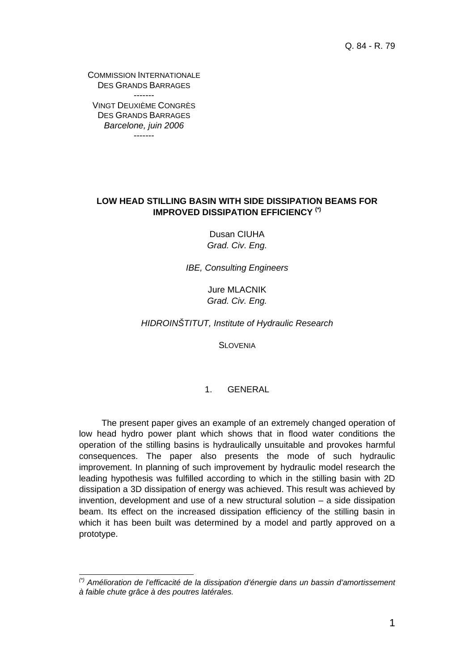Q. 84 - R. 79

COMMISSION INTERNATIONALE DES GRANDS BARRAGES ------- VINGT DEUXIÈME CONGRÈS

DES GRANDS BARRAGES *Barcelone, juin 2006*  -------

l

## **LOW HEAD STILLING BASIN WITH SIDE DISSIPATION BEAMS FOR IMPROVED DISSIPATION EFFICIENCY (\*)**

Dusan CIUHA *Grad. Civ. Eng.* 

*IBE, Consulting Engineers* 

Jure MLACNIK *Grad. Civ. Eng.* 

*HIDROINŠTITUT, Institute of Hydraulic Research* 

**SLOVENIA** 

## 1. GENERAL

The present paper gives an example of an extremely changed operation of low head hydro power plant which shows that in flood water conditions the operation of the stilling basins is hydraulically unsuitable and provokes harmful consequences. The paper also presents the mode of such hydraulic improvement. In planning of such improvement by hydraulic model research the leading hypothesis was fulfilled according to which in the stilling basin with 2D dissipation a 3D dissipation of energy was achieved. This result was achieved by invention, development and use of a new structural solution – a side dissipation beam. Its effect on the increased dissipation efficiency of the stilling basin in which it has been built was determined by a model and partly approved on a prototype.

*<sup>(\*)</sup> Amélioration de l'efficacité de la dissipation d'énergie dans un bassin d'amortissement à faible chute grâce à des poutres latérales.*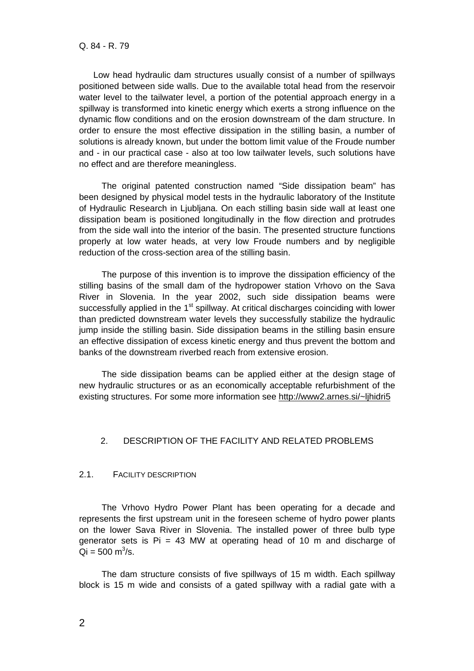Low head hydraulic dam structures usually consist of a number of spillways positioned between side walls. Due to the available total head from the reservoir water level to the tailwater level, a portion of the potential approach energy in a spillway is transformed into kinetic energy which exerts a strong influence on the dynamic flow conditions and on the erosion downstream of the dam structure. In order to ensure the most effective dissipation in the stilling basin, a number of solutions is already known, but under the bottom limit value of the Froude number and - in our practical case - also at too low tailwater levels, such solutions have no effect and are therefore meaningless.

The original patented construction named "Side dissipation beam" has been designed by physical model tests in the hydraulic laboratory of the Institute of Hydraulic Research in Ljubljana. On each stilling basin side wall at least one dissipation beam is positioned longitudinally in the flow direction and protrudes from the side wall into the interior of the basin. The presented structure functions properly at low water heads, at very low Froude numbers and by negligible reduction of the cross-section area of the stilling basin.

The purpose of this invention is to improve the dissipation efficiency of the stilling basins of the small dam of the hydropower station Vrhovo on the Sava River in Slovenia. In the year 2002, such side dissipation beams were successfully applied in the  $1<sup>st</sup>$  spillway. At critical discharges coinciding with lower than predicted downstream water levels they successfully stabilize the hydraulic jump inside the stilling basin. Side dissipation beams in the stilling basin ensure an effective dissipation of excess kinetic energy and thus prevent the bottom and banks of the downstream riverbed reach from extensive erosion.

The side dissipation beams can be applied either at the design stage of new hydraulic structures or as an economically acceptable refurbishment of the existing structures. For some more information see http://www2.arnes.si/~ljhidri5

### 2. DESCRIPTION OF THE FACILITY AND RELATED PROBLEMS

## 2.1. FACILITY DESCRIPTION

The Vrhovo Hydro Power Plant has been operating for a decade and represents the first upstream unit in the foreseen scheme of hydro power plants on the lower Sava River in Slovenia. The installed power of three bulb type generator sets is  $Pi = 43$  MW at operating head of 10 m and discharge of  $Qi = 500 \text{ m}^3/\text{s}.$ 

The dam structure consists of five spillways of 15 m width. Each spillway block is 15 m wide and consists of a gated spillway with a radial gate with a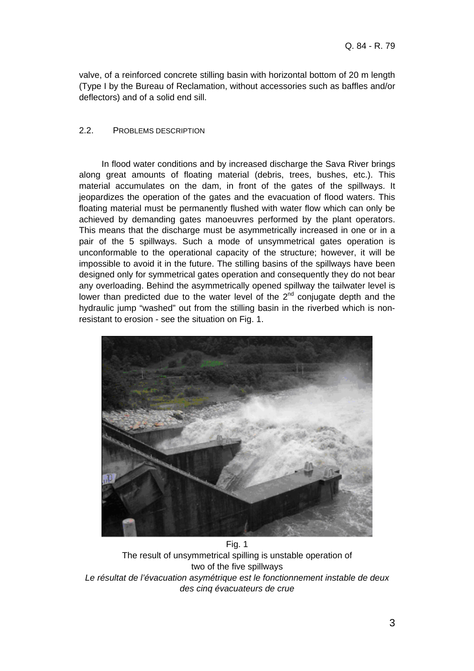valve, of a reinforced concrete stilling basin with horizontal bottom of 20 m length (Type I by the Bureau of Reclamation, without accessories such as baffles and/or deflectors) and of a solid end sill.

# 2.2. PROBLEMS DESCRIPTION

In flood water conditions and by increased discharge the Sava River brings along great amounts of floating material (debris, trees, bushes, etc.). This material accumulates on the dam, in front of the gates of the spillways. It jeopardizes the operation of the gates and the evacuation of flood waters. This floating material must be permanently flushed with water flow which can only be achieved by demanding gates manoeuvres performed by the plant operators. This means that the discharge must be asymmetrically increased in one or in a pair of the 5 spillways. Such a mode of unsymmetrical gates operation is unconformable to the operational capacity of the structure; however, it will be impossible to avoid it in the future. The stilling basins of the spillways have been designed only for symmetrical gates operation and consequently they do not bear any overloading. Behind the asymmetrically opened spillway the tailwater level is lower than predicted due to the water level of the  $2<sup>nd</sup>$  conjugate depth and the hydraulic jump "washed" out from the stilling basin in the riverbed which is nonresistant to erosion - see the situation on Fig. 1.



Fig. 1 The result of unsymmetrical spilling is unstable operation of two of the five spillways *Le résultat de l'évacuation asymétrique est le fonctionnement instable de deux des cinq évacuateurs de crue*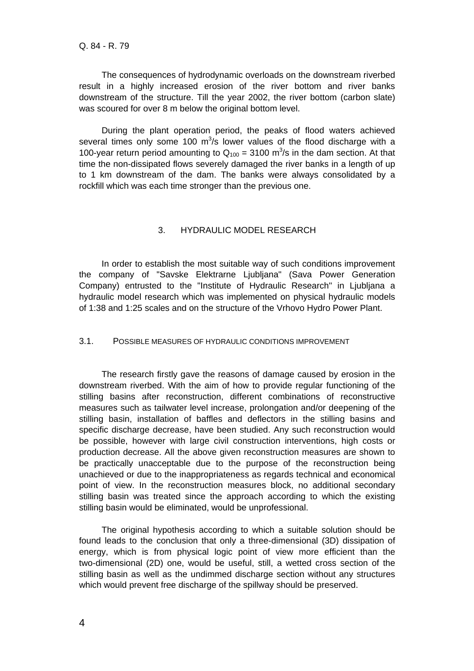The consequences of hydrodynamic overloads on the downstream riverbed result in a highly increased erosion of the river bottom and river banks downstream of the structure. Till the year 2002, the river bottom (carbon slate) was scoured for over 8 m below the original bottom level.

During the plant operation period, the peaks of flood waters achieved several times only some 100  $\mathrm{m}^3$ /s lower values of the flood discharge with a 100-year return period amounting to  $Q_{100} = 3100$  m<sup>3</sup>/s in the dam section. At that time the non-dissipated flows severely damaged the river banks in a length of up to 1 km downstream of the dam. The banks were always consolidated by a rockfill which was each time stronger than the previous one.

## 3. HYDRAULIC MODEL RESEARCH

In order to establish the most suitable way of such conditions improvement the company of "Savske Elektrarne Ljubljana" (Sava Power Generation Company) entrusted to the "Institute of Hydraulic Research" in Ljubljana a hydraulic model research which was implemented on physical hydraulic models of 1:38 and 1:25 scales and on the structure of the Vrhovo Hydro Power Plant.

### 3.1. POSSIBLE MEASURES OF HYDRAULIC CONDITIONS IMPROVEMENT

The research firstly gave the reasons of damage caused by erosion in the downstream riverbed. With the aim of how to provide regular functioning of the stilling basins after reconstruction, different combinations of reconstructive measures such as tailwater level increase, prolongation and/or deepening of the stilling basin, installation of baffles and deflectors in the stilling basins and specific discharge decrease, have been studied. Any such reconstruction would be possible, however with large civil construction interventions, high costs or production decrease. All the above given reconstruction measures are shown to be practically unacceptable due to the purpose of the reconstruction being unachieved or due to the inappropriateness as regards technical and economical point of view. In the reconstruction measures block, no additional secondary stilling basin was treated since the approach according to which the existing stilling basin would be eliminated, would be unprofessional.

The original hypothesis according to which a suitable solution should be found leads to the conclusion that only a three-dimensional (3D) dissipation of energy, which is from physical logic point of view more efficient than the two-dimensional (2D) one, would be useful, still, a wetted cross section of the stilling basin as well as the undimmed discharge section without any structures which would prevent free discharge of the spillway should be preserved.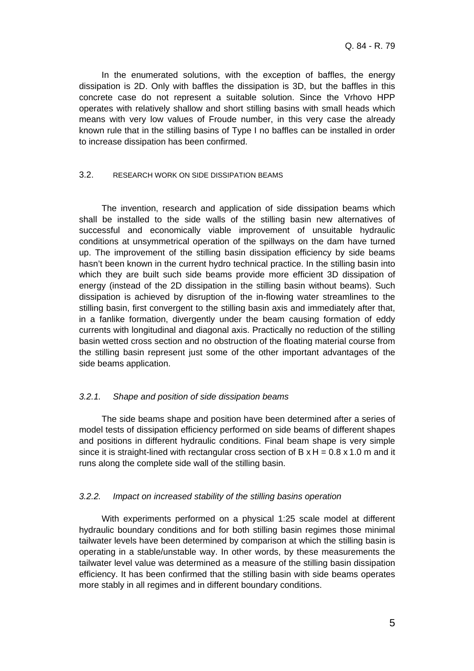In the enumerated solutions, with the exception of baffles, the energy dissipation is 2D. Only with baffles the dissipation is 3D, but the baffles in this concrete case do not represent a suitable solution. Since the Vrhovo HPP operates with relatively shallow and short stilling basins with small heads which means with very low values of Froude number, in this very case the already known rule that in the stilling basins of Type I no baffles can be installed in order to increase dissipation has been confirmed.

## 3.2. RESEARCH WORK ON SIDE DISSIPATION BEAMS

The invention, research and application of side dissipation beams which shall be installed to the side walls of the stilling basin new alternatives of successful and economically viable improvement of unsuitable hydraulic conditions at unsymmetrical operation of the spillways on the dam have turned up. The improvement of the stilling basin dissipation efficiency by side beams hasn't been known in the current hydro technical practice. In the stilling basin into which they are built such side beams provide more efficient 3D dissipation of energy (instead of the 2D dissipation in the stilling basin without beams). Such dissipation is achieved by disruption of the in-flowing water streamlines to the stilling basin, first convergent to the stilling basin axis and immediately after that, in a fanlike formation, divergently under the beam causing formation of eddy currents with longitudinal and diagonal axis. Practically no reduction of the stilling basin wetted cross section and no obstruction of the floating material course from the stilling basin represent just some of the other important advantages of the side beams application.

## *3.2.1. Shape and position of side dissipation beams*

The side beams shape and position have been determined after a series of model tests of dissipation efficiency performed on side beams of different shapes and positions in different hydraulic conditions. Final beam shape is very simple since it is straight-lined with rectangular cross section of  $B \times H = 0.8 \times 1.0$  m and it runs along the complete side wall of the stilling basin.

## *3.2.2. Impact on increased stability of the stilling basins operation*

With experiments performed on a physical 1:25 scale model at different hydraulic boundary conditions and for both stilling basin regimes those minimal tailwater levels have been determined by comparison at which the stilling basin is operating in a stable/unstable way. In other words, by these measurements the tailwater level value was determined as a measure of the stilling basin dissipation efficiency. It has been confirmed that the stilling basin with side beams operates more stably in all regimes and in different boundary conditions.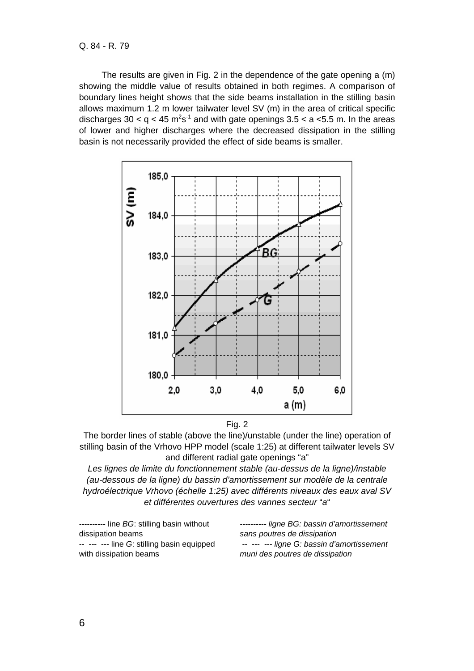The results are given in Fig. 2 in the dependence of the gate opening a (m) showing the middle value of results obtained in both regimes. A comparison of boundary lines height shows that the side beams installation in the stilling basin allows maximum 1.2 m lower tailwater level SV (m) in the area of critical specific discharges 30 < q < 45 m<sup>2</sup>s<sup>-1</sup> and with gate openings 3.5 < a < 5.5 m. In the areas of lower and higher discharges where the decreased dissipation in the stilling basin is not necessarily provided the effect of side beams is smaller.



Fig. 2

The border lines of stable (above the line)/unstable (under the line) operation of stilling basin of the Vrhovo HPP model (scale 1:25) at different tailwater levels SV and different radial gate openings "a"

*Les lignes de limite du fonctionnement stable (au-dessus de la ligne)/instable (au-dessous de la ligne) du bassin d'amortissement sur modèle de la centrale hydroélectrique Vrhovo (échelle 1:25) avec différents niveaux des eaux aval SV et différentes ouvertures des vannes secteur* "*a*"

| --------- ligne BG: bassin d'amortissement |
|--------------------------------------------|
| sans poutres de dissipation                |
| -- --- --- ligne G: bassin d'amortissement |
| muni des poutres de dissipation            |
|                                            |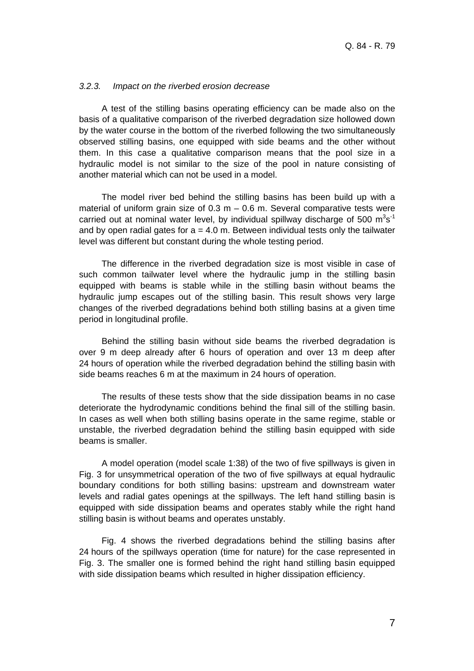## *3.2.3. Impact on the riverbed erosion decrease*

A test of the stilling basins operating efficiency can be made also on the basis of a qualitative comparison of the riverbed degradation size hollowed down by the water course in the bottom of the riverbed following the two simultaneously observed stilling basins, one equipped with side beams and the other without them. In this case a qualitative comparison means that the pool size in a hydraulic model is not similar to the size of the pool in nature consisting of another material which can not be used in a model.

The model river bed behind the stilling basins has been build up with a material of uniform grain size of  $0.3$  m  $-0.6$  m. Several comparative tests were carried out at nominal water level, by individual spillway discharge of 500  $m^3s^1$ and by open radial gates for  $a = 4.0$  m. Between individual tests only the tailwater level was different but constant during the whole testing period.

The difference in the riverbed degradation size is most visible in case of such common tailwater level where the hydraulic jump in the stilling basin equipped with beams is stable while in the stilling basin without beams the hydraulic jump escapes out of the stilling basin. This result shows very large changes of the riverbed degradations behind both stilling basins at a given time period in longitudinal profile.

Behind the stilling basin without side beams the riverbed degradation is over 9 m deep already after 6 hours of operation and over 13 m deep after 24 hours of operation while the riverbed degradation behind the stilling basin with side beams reaches 6 m at the maximum in 24 hours of operation.

The results of these tests show that the side dissipation beams in no case deteriorate the hydrodynamic conditions behind the final sill of the stilling basin. In cases as well when both stilling basins operate in the same regime, stable or unstable, the riverbed degradation behind the stilling basin equipped with side beams is smaller.

A model operation (model scale 1:38) of the two of five spillways is given in Fig. 3 for unsymmetrical operation of the two of five spillways at equal hydraulic boundary conditions for both stilling basins: upstream and downstream water levels and radial gates openings at the spillways. The left hand stilling basin is equipped with side dissipation beams and operates stably while the right hand stilling basin is without beams and operates unstably.

Fig. 4 shows the riverbed degradations behind the stilling basins after 24 hours of the spillways operation (time for nature) for the case represented in Fig. 3. The smaller one is formed behind the right hand stilling basin equipped with side dissipation beams which resulted in higher dissipation efficiency.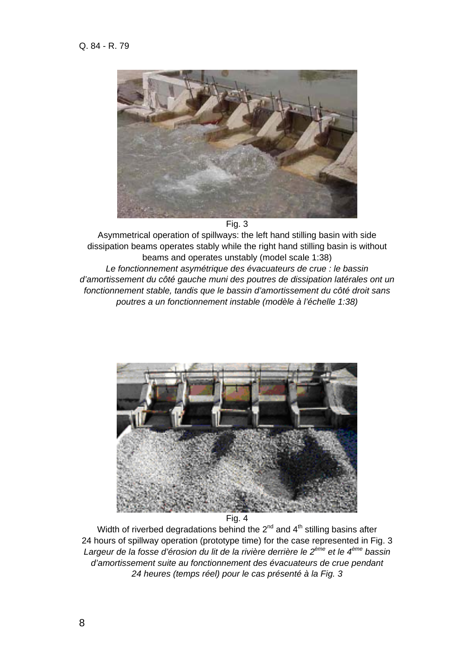

Fig. 3

Asymmetrical operation of spillways: the left hand stilling basin with side dissipation beams operates stably while the right hand stilling basin is without beams and operates unstably (model scale 1:38) *Le fonctionnement asymétrique des évacuateurs de crue : le bassin d'amortissement du côté gauche muni des poutres de dissipation latérales ont un fonctionnement stable, tandis que le bassin d'amortissement du côté droit sans poutres a un fonctionnement instable (modèle à l'échelle 1:38)* 



Fig. 4

Width of riverbed degradations behind the  $2^{nd}$  and  $4^{th}$  stilling basins after 24 hours of spillway operation (prototype time) for the case represented in Fig. 3 *Largeur de la fosse d'érosion du lit de la rivière derrière le 2ème et le 4ème bassin d'amortissement suite au fonctionnement des évacuateurs de crue pendant 24 heures (temps réel) pour le cas présenté à la Fig. 3*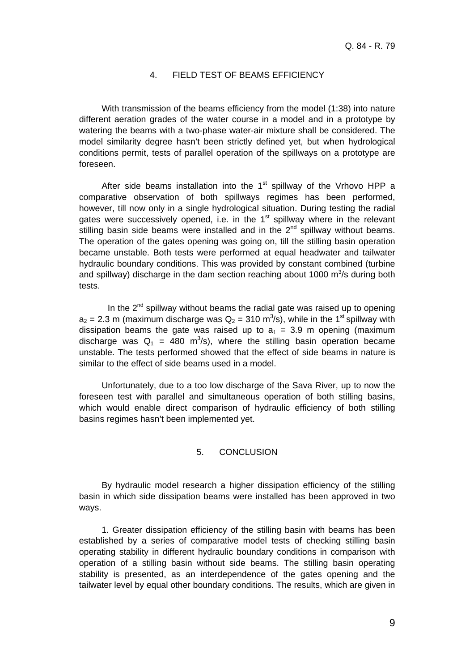# 4. FIELD TEST OF BEAMS EFFICIENCY

With transmission of the beams efficiency from the model (1:38) into nature different aeration grades of the water course in a model and in a prototype by watering the beams with a two-phase water-air mixture shall be considered. The model similarity degree hasn't been strictly defined yet, but when hydrological conditions permit, tests of parallel operation of the spillways on a prototype are foreseen.

After side beams installation into the  $1<sup>st</sup>$  spillway of the Vrhovo HPP a comparative observation of both spillways regimes has been performed, however, till now only in a single hydrological situation. During testing the radial gates were successively opened, i.e. in the 1<sup>st</sup> spillway where in the relevant stilling basin side beams were installed and in the  $2<sup>nd</sup>$  spillway without beams. The operation of the gates opening was going on, till the stilling basin operation became unstable. Both tests were performed at equal headwater and tailwater hydraulic boundary conditions. This was provided by constant combined (turbine and spillway) discharge in the dam section reaching about 1000  $\text{m}^3$ /s during both tests.

In the  $2^{nd}$  spillway without beams the radial gate was raised up to opening  $a_2 = 2.3$  m (maximum discharge was  $Q_2 = 310$  m<sup>3</sup>/s), while in the 1<sup>st</sup> spillway with dissipation beams the gate was raised up to  $a_1 = 3.9$  m opening (maximum discharge was  $Q_1 = 480 \text{ m}^3/\text{s}$ , where the stilling basin operation became unstable. The tests performed showed that the effect of side beams in nature is similar to the effect of side beams used in a model.

Unfortunately, due to a too low discharge of the Sava River, up to now the foreseen test with parallel and simultaneous operation of both stilling basins, which would enable direct comparison of hydraulic efficiency of both stilling basins regimes hasn't been implemented yet.

#### 5. CONCLUSION

By hydraulic model research a higher dissipation efficiency of the stilling basin in which side dissipation beams were installed has been approved in two ways.

1. Greater dissipation efficiency of the stilling basin with beams has been established by a series of comparative model tests of checking stilling basin operating stability in different hydraulic boundary conditions in comparison with operation of a stilling basin without side beams. The stilling basin operating stability is presented, as an interdependence of the gates opening and the tailwater level by equal other boundary conditions. The results, which are given in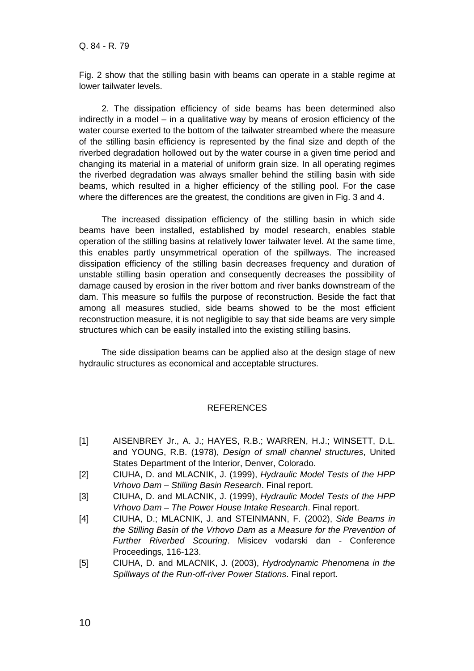Fig. 2 show that the stilling basin with beams can operate in a stable regime at lower tailwater levels.

2. The dissipation efficiency of side beams has been determined also indirectly in a model – in a qualitative way by means of erosion efficiency of the water course exerted to the bottom of the tailwater streambed where the measure of the stilling basin efficiency is represented by the final size and depth of the riverbed degradation hollowed out by the water course in a given time period and changing its material in a material of uniform grain size. In all operating regimes the riverbed degradation was always smaller behind the stilling basin with side beams, which resulted in a higher efficiency of the stilling pool. For the case where the differences are the greatest, the conditions are given in Fig. 3 and 4.

The increased dissipation efficiency of the stilling basin in which side beams have been installed, established by model research, enables stable operation of the stilling basins at relatively lower tailwater level. At the same time, this enables partly unsymmetrical operation of the spillways. The increased dissipation efficiency of the stilling basin decreases frequency and duration of unstable stilling basin operation and consequently decreases the possibility of damage caused by erosion in the river bottom and river banks downstream of the dam. This measure so fulfils the purpose of reconstruction. Beside the fact that among all measures studied, side beams showed to be the most efficient reconstruction measure, it is not negligible to say that side beams are very simple structures which can be easily installed into the existing stilling basins.

The side dissipation beams can be applied also at the design stage of new hydraulic structures as economical and acceptable structures.

# **REFERENCES**

- [1] AISENBREY Jr., A. J.; HAYES, R.B.; WARREN, H.J.; WINSETT, D.L. and YOUNG, R.B. (1978), *Design of small channel structures*, United States Department of the Interior, Denver, Colorado.
- [2] CIUHA, D. and MLACNIK, J. (1999), *Hydraulic Model Tests of the HPP Vrhovo Dam – Stilling Basin Research*. Final report.
- [3] CIUHA, D. and MLACNIK, J. (1999), *Hydraulic Model Tests of the HPP Vrhovo Dam – The Power House Intake Research*. Final report.
- [4] CIUHA, D.; MLACNIK, J. and STEINMANN, F. (2002), *Side Beams in the Stilling Basin of the Vrhovo Dam as a Measure for the Prevention of Further Riverbed Scouring*. Misicev vodarski dan - Conference Proceedings, 116-123.
- [5] CIUHA, D. and MLACNIK, J. (2003), *Hydrodynamic Phenomena in the Spillways of the Run-off-river Power Stations*. Final report.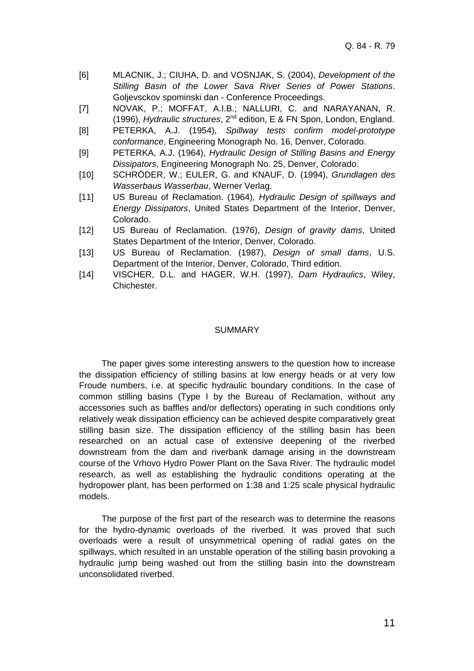- [6] MLACNIK, J.; CIUHA, D. and VOSNJAK, S. (2004), *Development of the Stilling Basin of the Lower Sava River Series of Power Stations*. Goljevsckov spominski dan - Conference Proceedings.
- [7] NOVAK, P.; MOFFAT, A.I.B.; NALLURI, C. and NARAYANAN, R. (1996), *Hydraulic structures*, 2nd edition, E & FN Spon, London, England.
- [8] PETERKA, A.J. (1954), *Spillway tests confirm model-prototype conformance*, Engineering Monograph No. 16, Denver, Colorado.
- [9] PETERKA, A.J. (1964), *Hydraulic Design of Stilling Basins and Energy Dissipators*, Engineering Monograph No. 25, Denver, Colorado.
- [10] SCHRÖDER, W.; EULER, G. and KNAUF, D. (1994), *Grundlagen des Wasserbaus Wasserbau*, Werner Verlag.
- [11] US Bureau of Reclamation. (1964), *Hydraulic Design of spillways and Energy Dissipators*, United States Department of the Interior, Denver, Colorado.
- [12] US Bureau of Reclamation. (1976), *Design of gravity dams*, United States Department of the Interior, Denver, Colorado.
- [13] US Bureau of Reclamation. (1987), *Design of small dams*, U.S. Department of the Interior, Denver, Colorado, Third edition.
- [14] VISCHER, D.L. and HAGER, W.H. (1997), *Dam Hydraulics*, Wiley, Chichester.

#### SUMMARY

The paper gives some interesting answers to the question how to increase the dissipation efficiency of stilling basins at low energy heads or at very low Froude numbers, i.e. at specific hydraulic boundary conditions. In the case of common stilling basins (Type I by the Bureau of Reclamation, without any accessories such as baffles and/or deflectors) operating in such conditions only relatively weak dissipation efficiency can be achieved despite comparatively great stilling basin size. The dissipation efficiency of the stilling basin has been researched on an actual case of extensive deepening of the riverbed downstream from the dam and riverbank damage arising in the downstream course of the Vrhovo Hydro Power Plant on the Sava River. The hydraulic model research, as well as establishing the hydraulic conditions operating at the hydropower plant, has been performed on 1:38 and 1:25 scale physical hydraulic models.

The purpose of the first part of the research was to determine the reasons for the hydro-dynamic overloads of the riverbed. It was proved that such overloads were a result of unsymmetrical opening of radial gates on the spillways, which resulted in an unstable operation of the stilling basin provoking a hydraulic jump being washed out from the stilling basin into the downstream unconsolidated riverbed.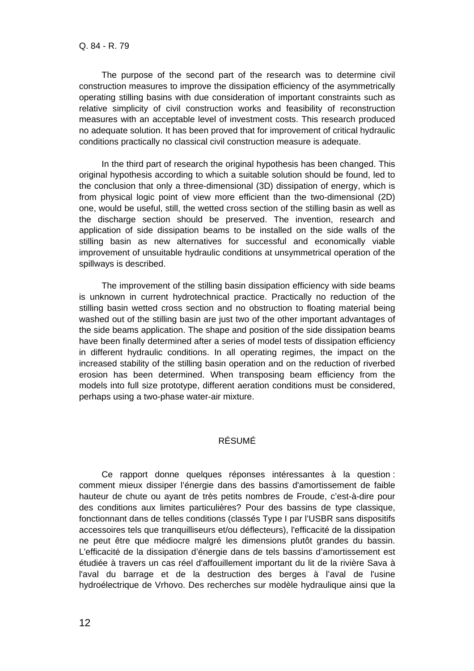The purpose of the second part of the research was to determine civil construction measures to improve the dissipation efficiency of the asymmetrically operating stilling basins with due consideration of important constraints such as relative simplicity of civil construction works and feasibility of reconstruction measures with an acceptable level of investment costs. This research produced no adequate solution. It has been proved that for improvement of critical hydraulic conditions practically no classical civil construction measure is adequate.

In the third part of research the original hypothesis has been changed. This original hypothesis according to which a suitable solution should be found, led to the conclusion that only a three-dimensional (3D) dissipation of energy, which is from physical logic point of view more efficient than the two-dimensional (2D) one, would be useful, still, the wetted cross section of the stilling basin as well as the discharge section should be preserved. The invention, research and application of side dissipation beams to be installed on the side walls of the stilling basin as new alternatives for successful and economically viable improvement of unsuitable hydraulic conditions at unsymmetrical operation of the spillways is described.

The improvement of the stilling basin dissipation efficiency with side beams is unknown in current hydrotechnical practice. Practically no reduction of the stilling basin wetted cross section and no obstruction to floating material being washed out of the stilling basin are just two of the other important advantages of the side beams application. The shape and position of the side dissipation beams have been finally determined after a series of model tests of dissipation efficiency in different hydraulic conditions. In all operating regimes, the impact on the increased stability of the stilling basin operation and on the reduction of riverbed erosion has been determined. When transposing beam efficiency from the models into full size prototype, different aeration conditions must be considered, perhaps using a two-phase water-air mixture.

# RÉSUMÉ

Ce rapport donne quelques réponses intéressantes à la question : comment mieux dissiper l'énergie dans des bassins d'amortissement de faible hauteur de chute ou ayant de très petits nombres de Froude, c'est-à-dire pour des conditions aux limites particulières? Pour des bassins de type classique, fonctionnant dans de telles conditions (classés Type I par l'USBR sans dispositifs accessoires tels que tranquilliseurs et/ou déflecteurs), l'efficacité de la dissipation ne peut être que médiocre malgré les dimensions plutôt grandes du bassin. L'efficacité de la dissipation d'énergie dans de tels bassins d'amortissement est étudiée à travers un cas réel d'affouillement important du lit de la rivière Sava à l'aval du barrage et de la destruction des berges à l'aval de l'usine hydroélectrique de Vrhovo. Des recherches sur modèle hydraulique ainsi que la